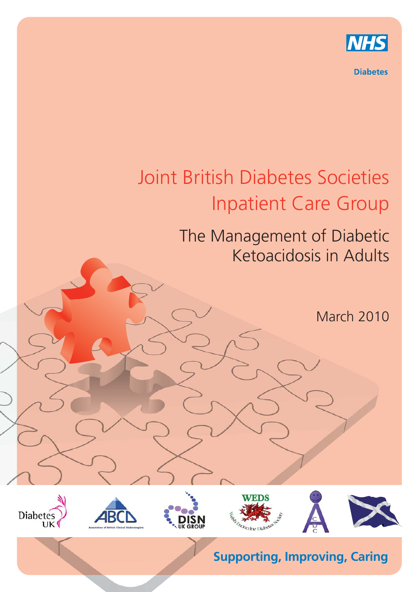

**Diabetes** 

## Joint British Diabetes Societies Inpatient Care Group

## The Management of Diabetic Ketoacidosis in Adults

March 2010



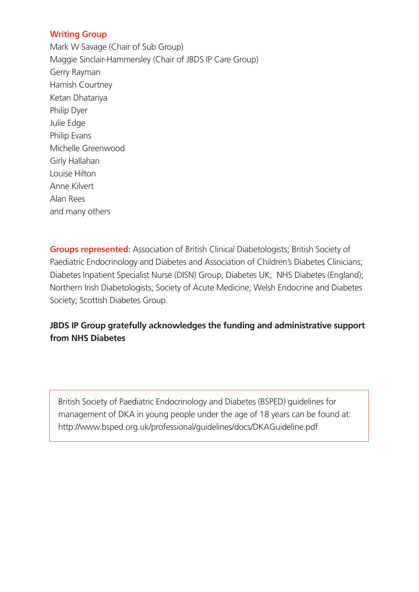## **Writing Group**

Mark W Savage (Chair of Sub Group) Maggie Sinclair-Hammersley (Chair of JBDS IP Care Group) Gerry Rayman Hamish Courtney Ketan Dhatariya Philip Dyer Julie Edge Philip Evans Michelle Greenwood Girly Hallahan Louise Hilton Anne Kilvert Alan Rees and many others

**Groups represented:** Association of British Clinical Diabetologists; British Society of Paediatric Endocrinology and Diabetes and Association of Children's Diabetes Clinicians; Diabetes Inpatient Specialist Nurse (DISN) Group; Diabetes UK; NHS Diabetes (England); Northern Irish Diabetologists; Society of Acute Medicine; Welsh Endocrine and Diabetes Society; Scottish Diabetes Group.

## **JBDS IP Group gratefully acknowledges the funding and administrative support from NHS Diabetes**

British Society of Paediatric Endocrinology and Diabetes (BSPED) guidelines for management of DKA in young people under the age of 18 years can be found at: http://www.bsped.org.uk/professional/guidelines/docs/DKAGuideline.pdf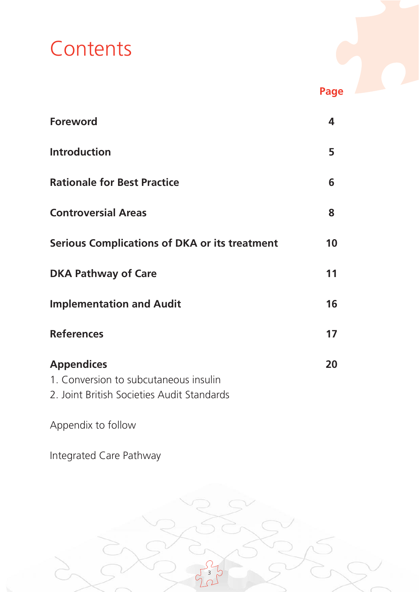# **Contents**

| <b>Foreword</b>                               | 4  |
|-----------------------------------------------|----|
| <b>Introduction</b>                           | 5  |
| <b>Rationale for Best Practice</b>            | 6  |
| <b>Controversial Areas</b>                    | 8  |
| Serious Complications of DKA or its treatment | 10 |
| <b>DKA Pathway of Care</b>                    | 11 |
| <b>Implementation and Audit</b>               | 16 |
| <b>References</b>                             | 17 |
| <b>Appendices</b>                             | 20 |
| 1. Conversion to subcutaneous insulin         |    |
| 2. Joint British Societies Audit Standards    |    |

**Page**

Appendix to follow

Integrated Care Pathway

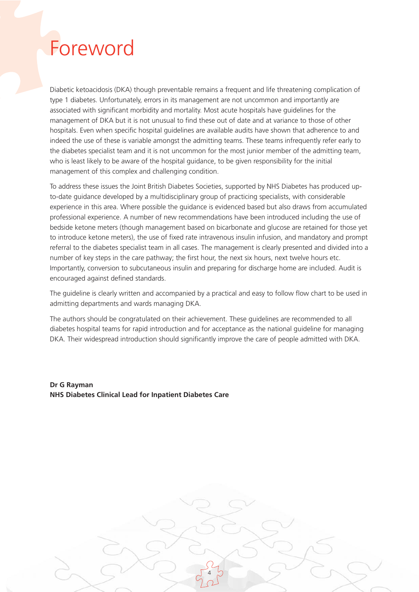## Foreword

Diabetic ketoacidosis (DKA) though preventable remains a frequent and life threatening complication of type 1 diabetes. Unfortunately, errors in its management are not uncommon and importantly are associated with significant morbidity and mortality. Most acute hospitals have guidelines for the management of DKA but it is not unusual to find these out of date and at variance to those of other hospitals. Even when specific hospital guidelines are available audits have shown that adherence to and indeed the use of these is variable amongst the admitting teams. These teams infrequently refer early to the diabetes specialist team and it is not uncommon for the most junior member of the admitting team, who is least likely to be aware of the hospital guidance, to be given responsibility for the initial management of this complex and challenging condition.

To address these issues the Joint British Diabetes Societies, supported by NHS Diabetes has produced upto-date guidance developed by a multidisciplinary group of practicing specialists, with considerable experience in this area. Where possible the guidance is evidenced based but also draws from accumulated professional experience. A number of new recommendations have been introduced including the use of bedside ketone meters (though management based on bicarbonate and glucose are retained for those yet to introduce ketone meters), the use of fixed rate intravenous insulin infusion, and mandatory and prompt referral to the diabetes specialist team in all cases. The management is clearly presented and divided into a number of key steps in the care pathway; the first hour, the next six hours, next twelve hours etc. Importantly, conversion to subcutaneous insulin and preparing for discharge home are included. Audit is encouraged against defined standards.

The guideline is clearly written and accompanied by a practical and easy to follow flow chart to be used in admitting departments and wards managing DKA.

The authors should be congratulated on their achievement. These guidelines are recommended to all diabetes hospital teams for rapid introduction and for acceptance as the national guideline for managing DKA. Their widespread introduction should significantly improve the care of people admitted with DKA.

4

**Dr G Rayman NHS Diabetes Clinical Lead for Inpatient Diabetes Care**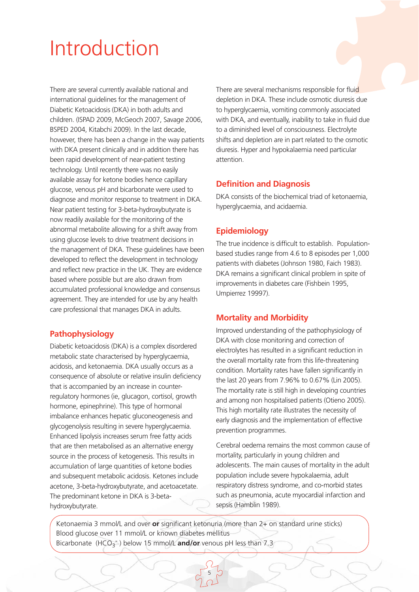## Introduction

There are several currently available national and international guidelines for the management of Diabetic Ketoacidosis (DKA) in both adults and children. (ISPAD 2009, McGeoch 2007, Savage 2006, BSPED 2004, Kitabchi 2009). In the last decade, however, there has been a change in the way patients with DKA present clinically and in addition there has been rapid development of near-patient testing technology. Until recently there was no easily available assay for ketone bodies hence capillary glucose, venous pH and bicarbonate were used to diagnose and monitor response to treatment in DKA. Near patient testing for 3-beta-hydroxybutyrate is now readily available for the monitoring of the abnormal metabolite allowing for a shift away from using glucose levels to drive treatment decisions in the management of DKA. These guidelines have been developed to reflect the development in technology and reflect new practice in the UK. They are evidence based where possible but are also drawn from accumulated professional knowledge and consensus agreement. They are intended for use by any health care professional that manages DKA in adults.

## **Pathophysiology**

Diabetic ketoacidosis (DKA) is a complex disordered metabolic state characterised by hyperglycaemia, acidosis, and ketonaemia. DKA usually occurs as a consequence of absolute or relative insulin deficiency that is accompanied by an increase in counterregulatory hormones (ie, glucagon, cortisol, growth hormone, epinephrine). This type of hormonal imbalance enhances hepatic gluconeogenesis and glycogenolysis resulting in severe hyperglycaemia. Enhanced lipolysis increases serum free fatty acids that are then metabolised as an alternative energy source in the process of ketogenesis. This results in accumulation of large quantities of ketone bodies and subsequent metabolic acidosis. Ketones include acetone, 3-beta-hydroxybutyrate, and acetoacetate. The predominant ketone in DKA is 3-betahydroxybutyrate.

There are several mechanisms responsible for fluid depletion in DKA. These include osmotic diuresis due to hyperglycaemia, vomiting commonly associated with DKA, and eventually, inability to take in fluid due to a diminished level of consciousness. Electrolyte shifts and depletion are in part related to the osmotic diuresis. Hyper and hypokalaemia need particular attention.

## **Definition and Diagnosis**

DKA consists of the biochemical triad of ketonaemia, hyperglycaemia, and acidaemia.

## **Epidemiology**

The true incidence is difficult to establish. Populationbased studies range from 4.6 to 8 episodes per 1,000 patients with diabetes (Johnson 1980, Faich 1983). DKA remains a significant clinical problem in spite of improvements in diabetes care (Fishbein 1995, Umpierrez 19997).

## **Mortality and Morbidity**

Improved understanding of the pathophysiology of DKA with close monitoring and correction of electrolytes has resulted in a significant reduction in the overall mortality rate from this life-threatening condition. Mortality rates have fallen significantly in the last 20 years from 7.96% to 0.67% (Lin 2005). The mortality rate is still high in developing countries and among non hospitalised patients (Otieno 2005). This high mortality rate illustrates the necessity of early diagnosis and the implementation of effective prevention programmes.

Cerebral oedema remains the most common cause of mortality, particularly in young children and adolescents. The main causes of mortality in the adult population include severe hypokalaemia, adult respiratory distress syndrome, and co-morbid states such as pneumonia, acute myocardial infarction and sepsis (Hamblin 1989).

Ketonaemia 3 mmol/L and over **or** significant ketonuria (more than 2+ on standard urine sticks) Blood glucose over 11 mmol/L or known diabetes mellitus Bicarbonate (HCO<sub>3</sub><sup>-</sup>) below 15 mmol/L **and/or** venous pH less than 7.3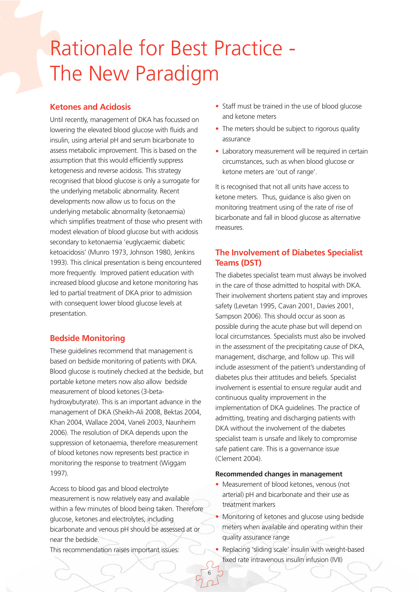## Rationale for Best Practice - The New Paradigm

### **Ketones and Acidosis**

Until recently, management of DKA has focussed on lowering the elevated blood glucose with fluids and insulin, using arterial pH and serum bicarbonate to assess metabolic improvement. This is based on the assumption that this would efficiently suppress ketogenesis and reverse acidosis. This strategy recognised that blood glucose is only a surrogate for the underlying metabolic abnormality. Recent developments now allow us to focus on the underlying metabolic abnormality (ketonaemia) which simplifies treatment of those who present with modest elevation of blood glucose but with acidosis secondary to ketonaemia 'euglycaemic diabetic ketoacidosis' (Munro 1973, Johnson 1980, Jenkins 1993). This clinical presentation is being encountered more frequently. Improved patient education with increased blood glucose and ketone monitoring has led to partial treatment of DKA prior to admission with consequent lower blood glucose levels at presentation.

## **Bedside Monitoring**

These guidelines recommend that management is based on bedside monitoring of patients with DKA. Blood glucose is routinely checked at the bedside, but portable ketone meters now also allow bedside measurement of blood ketones (3-betahydroxybutyrate). This is an important advance in the management of DKA (Sheikh-Ali 2008, Bektas 2004, Khan 2004, Wallace 2004, Vaneli 2003, Naunheim 2006). The resolution of DKA depends upon the suppression of ketonaemia, therefore measurement of blood ketones now represents best practice in monitoring the response to treatment (Wiggam 1997).

Access to blood gas and blood electrolyte measurement is now relatively easy and available within a few minutes of blood being taken. Therefore glucose, ketones and electrolytes, including bicarbonate and venous pH should be assessed at or near the bedside.

This recommendation raises important issues:

- Staff must be trained in the use of blood glucose and ketone meters
- The meters should be subject to rigorous quality assurance
- Laboratory measurement will be required in certain circumstances, such as when blood glucose or ketone meters are 'out of range'.

It is recognised that not all units have access to ketone meters. Thus, guidance is also given on monitoring treatment using of the rate of rise of bicarbonate and fall in blood glucose as alternative measures.

## **The Involvement of Diabetes Specialist Teams (DST)**

The diabetes specialist team must always be involved in the care of those admitted to hospital with DKA. Their involvement shortens patient stay and improves safety (Levetan 1995, Cavan 2001, Davies 2001, Sampson 2006). This should occur as soon as possible during the acute phase but will depend on local circumstances. Specialists must also be involved in the assessment of the precipitating cause of DKA, management, discharge, and follow up. This will include assessment of the patient's understanding of diabetes plus their attitudes and beliefs. Specialist involvement is essential to ensure regular audit and continuous quality improvement in the implementation of DKA guidelines. The practice of admitting, treating and discharging patients with DKA without the involvement of the diabetes specialist team is unsafe and likely to compromise safe patient care. This is a governance issue (Clement 2004).

#### **Recommended changes in management**

- Measurement of blood ketones, venous (not arterial) pH and bicarbonate and their use as treatment markers
- Monitoring of ketones and glucose using bedside meters when available and operating within their quality assurance range
- Replacing 'sliding scale' insulin with weight-based fixed rate intravenous insulin infusion (IVII)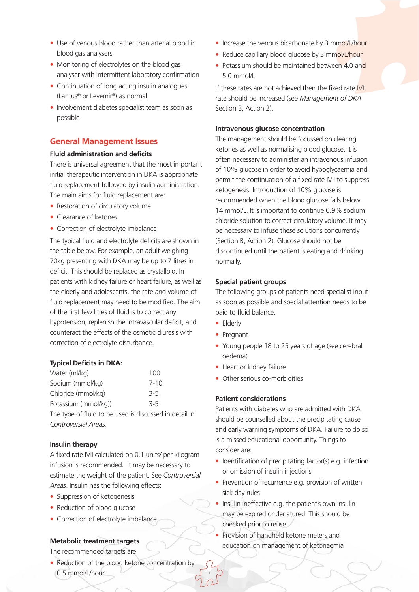- Use of venous blood rather than arterial blood in blood gas analysers
- Monitoring of electrolytes on the blood gas analyser with intermittent laboratory confirmation
- Continuation of long acting insulin analogues (Lantus® or Levemir®) as normal
- Involvement diabetes specialist team as soon as possible

### **General Management Issues**

#### **Fluid administration and deficits**

There is universal agreement that the most important initial therapeutic intervention in DKA is appropriate fluid replacement followed by insulin administration. The main aims for fluid replacement are:

- Restoration of circulatory volume
- Clearance of ketones
- Correction of electrolyte imbalance

The typical fluid and electrolyte deficits are shown in the table below. For example, an adult weighing 70kg presenting with DKA may be up to 7 litres in deficit. This should be replaced as crystalloid. In patients with kidney failure or heart failure, as well as the elderly and adolescents, the rate and volume of fluid replacement may need to be modified. The aim of the first few litres of fluid is to correct any hypotension, replenish the intravascular deficit, and counteract the effects of the osmotic diuresis with correction of electrolyte disturbance.

#### **Typical Deficits in DKA:**

| Water (ml/kg)                                          | 100     |
|--------------------------------------------------------|---------|
| Sodium (mmol/kg)                                       | 7-10    |
| Chloride (mmol/kg)                                     | $3 - 5$ |
| Potassium (mmol/kg))                                   | $3 - 5$ |
| The type of fluid to be used is discussed in detail in |         |
| Controversial Areas.                                   |         |

#### **Insulin therapy**

A fixed rate IVII calculated on 0.1 units/ per kilogram infusion is recommended. It may be necessary to estimate the weight of the patient. See *Controversial Areas*. Insulin has the following effects:

- Suppression of ketogenesis
- Reduction of blood glucose
- Correction of electrolyte imbalance

#### **Metabolic treatment targets**

The recommended targets are

• Reduction of the blood ketone concentration by 0.5 mmol/L/hour

- Increase the venous bicarbonate by 3 mmol/L/hour
- Reduce capillary blood glucose by 3 mmol/L/hour
- Potassium should be maintained between 4.0 and 5.0 mmol/L

If these rates are not achieved then the fixed rate IVII rate should be increased (see *Management of DKA* Section B, Action 2).

#### **Intravenous glucose concentration**

The management should be focussed on clearing ketones as well as normalising blood glucose. It is often necessary to administer an intravenous infusion of 10% glucose in order to avoid hypoglycaemia and permit the continuation of a fixed rate IVII to suppress ketogenesis. Introduction of 10% glucose is recommended when the blood glucose falls below 14 mmol/L. It is important to continue 0.9% sodium chloride solution to correct circulatory volume. It may be necessary to infuse these solutions concurrently (Section B, Action 2). Glucose should not be discontinued until the patient is eating and drinking normally.

#### **Special patient groups**

The following groups of patients need specialist input as soon as possible and special attention needs to be paid to fluid balance.

• Elderly

7

- Pregnant
- Young people 18 to 25 years of age (see cerebral oedema)
- Heart or kidney failure
- Other serious co-morbidities

#### **Patient considerations**

Patients with diabetes who are admitted with DKA should be counselled about the precipitating cause and early warning symptoms of DKA. Failure to do so is a missed educational opportunity. Things to consider are:

- Identification of precipitating factor(s) e.g. infection or omission of insulin injections
- Prevention of recurrence e.g. provision of written sick day rules
- Insulin ineffective e.g. the patient's own insulin may be expired or denatured. This should be checked prior to reuse
- Provision of handheld ketone meters and education on management of ketonaemia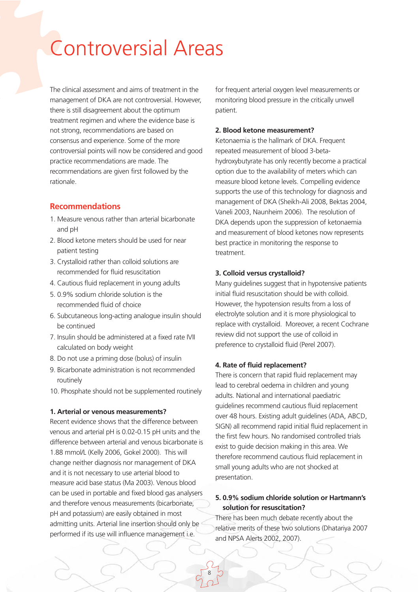## Controversial Areas

The clinical assessment and aims of treatment in the management of DKA are not controversial. However, there is still disagreement about the optimum treatment regimen and where the evidence base is not strong, recommendations are based on consensus and experience. Some of the more controversial points will now be considered and good practice recommendations are made. The recommendations are given first followed by the rationale.

### **Recommendations**

- 1. Measure venous rather than arterial bicarbonate and pH
- 2. Blood ketone meters should be used for near patient testing
- 3. Crystalloid rather than colloid solutions are recommended for fluid resuscitation
- 4. Cautious fluid replacement in young adults
- 5. 0.9% sodium chloride solution is the recommended fluid of choice
- 6. Subcutaneous long-acting analogue insulin should be continued
- 7. Insulin should be administered at a fixed rate IVII calculated on body weight
- 8. Do not use a priming dose (bolus) of insulin
- 9. Bicarbonate administration is not recommended routinely
- 10. Phosphate should not be supplemented routinely

#### **1. Arterial or venous measurements?**

Recent evidence shows that the difference between venous and arterial pH is 0.02-0.15 pH units and the difference between arterial and venous bicarbonate is 1.88 mmol/L (Kelly 2006, Gokel 2000). This will change neither diagnosis nor management of DKA and it is not necessary to use arterial blood to measure acid base status (Ma 2003). Venous blood can be used in portable and fixed blood gas analysers and therefore venous measurements (bicarbonate, pH and potassium) are easily obtained in most admitting units. Arterial line insertion should only be performed if its use will influence management i.e.

for frequent arterial oxygen level measurements or monitoring blood pressure in the critically unwell patient.

#### **2. Blood ketone measurement?**

Ketonaemia is the hallmark of DKA. Frequent repeated measurement of blood 3-betahydroxybutyrate has only recently become a practical option due to the availability of meters which can measure blood ketone levels. Compelling evidence supports the use of this technology for diagnosis and management of DKA (Sheikh-Ali 2008, Bektas 2004, Vaneli 2003, Naunheim 2006). The resolution of DKA depends upon the suppression of ketonaemia and measurement of blood ketones now represents best practice in monitoring the response to treatment.

#### **3. Colloid versus crystalloid?**

Many guidelines suggest that in hypotensive patients initial fluid resuscitation should be with colloid. However, the hypotension results from a loss of electrolyte solution and it is more physiological to replace with crystalloid. Moreover, a recent Cochrane review did not support the use of colloid in preference to crystalloid fluid (Perel 2007).

#### **4. Rate of fluid replacement?**

There is concern that rapid fluid replacement may lead to cerebral oedema in children and young adults. National and international paediatric guidelines recommend cautious fluid replacement over 48 hours. Existing adult guidelines (ADA, ABCD, SIGN) all recommend rapid initial fluid replacement in the first few hours. No randomised controlled trials exist to guide decision making in this area. We therefore recommend cautious fluid replacement in small young adults who are not shocked at presentation.

#### **5. 0.9% sodium chloride solution or Hartmann's solution for resuscitation?**

There has been much debate recently about the relative merits of these two solutions (Dhatariya 2007 and NPSA Alerts 2002, 2007).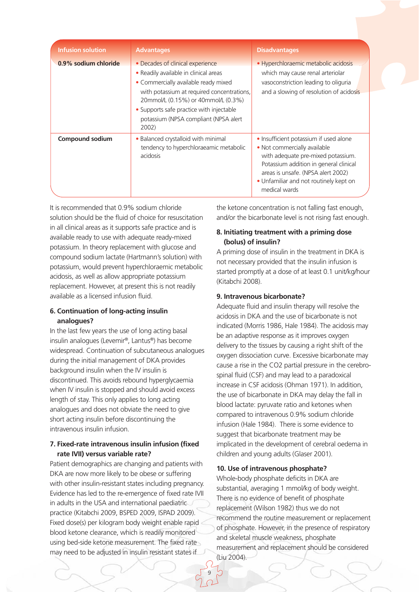| <b>Infusion solution</b> | <b>Advantages</b>                                                                                                                                                                                                                                                                                    | <b>Disadvantages</b>                                                                                                                                                                                                                                    |
|--------------------------|------------------------------------------------------------------------------------------------------------------------------------------------------------------------------------------------------------------------------------------------------------------------------------------------------|---------------------------------------------------------------------------------------------------------------------------------------------------------------------------------------------------------------------------------------------------------|
| 0.9% sodium chloride     | • Decades of clinical experience<br>• Readily available in clinical areas<br>• Commercially available ready mixed<br>with potassium at required concentrations,<br>20mmol/L (0.15%) or 40mmol/L (0.3%)<br>• Supports safe practice with injectable<br>potassium (NPSA compliant (NPSA alert<br>2002) | • Hyperchloraemic metabolic acidosis<br>which may cause renal arteriolar<br>vasoconstriction leading to oliguria<br>and a slowing of resolution of acidosis                                                                                             |
| Compound sodium          | • Balanced crystalloid with minimal<br>tendency to hyperchloraeamic metabolic<br>acidosis                                                                                                                                                                                                            | · Insufficient potassium if used alone<br>• Not commercially available<br>with adequate pre-mixed potassium.<br>Potassium addition in general clinical<br>areas is unsafe. (NPSA alert 2002)<br>• Unfamiliar and not routinely kept on<br>medical wards |

It is recommended that 0.9% sodium chloride solution should be the fluid of choice for resuscitation in all clinical areas as it supports safe practice and is available ready to use with adequate ready-mixed potassium. In theory replacement with glucose and compound sodium lactate (Hartmann's solution) with potassium, would prevent hyperchloraemic metabolic acidosis, as well as allow appropriate potassium replacement. However, at present this is not readily available as a licensed infusion fluid.

#### **6. Continuation of long-acting insulin analogues?**

In the last few years the use of long acting basal insulin analogues (Levemir®, Lantus®) has become widespread. Continuation of subcutaneous analogues during the initial management of DKA provides background insulin when the IV insulin is discontinued. This avoids rebound hyperglycaemia when IV insulin is stopped and should avoid excess length of stay. This only applies to long acting analogues and does not obviate the need to give short acting insulin before discontinuing the intravenous insulin infusion.

#### **7. Fixed-rate intravenous insulin infusion (fixed rate IVII) versus variable rate?**

Patient demographics are changing and patients with DKA are now more likely to be obese or suffering with other insulin-resistant states including pregnancy. Evidence has led to the re-emergence of fixed rate IVII in adults in the USA and international paediatric practice (Kitabchi 2009, BSPED 2009, ISPAD 2009). Fixed dose(s) per kilogram body weight enable rapid blood ketone clearance, which is readily monitored using bed-side ketone measurement. The fixed rate may need to be adjusted in insulin resistant states if

the ketone concentration is not falling fast enough, and/or the bicarbonate level is not rising fast enough.

### **8. Initiating treatment with a priming dose (bolus) of insulin?**

A priming dose of insulin in the treatment in DKA is not necessary provided that the insulin infusion is started promptly at a dose of at least 0.1 unit/kg/hour (Kitabchi 2008).

#### **9. Intravenous bicarbonate?**

Adequate fluid and insulin therapy will resolve the acidosis in DKA and the use of bicarbonate is not indicated (Morris 1986, Hale 1984). The acidosis may be an adaptive response as it improves oxygen delivery to the tissues by causing a right shift of the oxygen dissociation curve. Excessive bicarbonate may cause a rise in the CO2 partial pressure in the cerebrospinal fluid (CSF) and may lead to a paradoxical increase in CSF acidosis (Ohman 1971). In addition, the use of bicarbonate in DKA may delay the fall in blood lactate: pyruvate ratio and ketones when compared to intravenous 0.9% sodium chloride infusion (Hale 1984). There is some evidence to suggest that bicarbonate treatment may be implicated in the development of cerebral oedema in children and young adults (Glaser 2001).

## **10. Use of intravenous phosphate?**

Whole-body phosphate deficits in DKA are substantial, averaging 1 mmol/kg of body weight. There is no evidence of benefit of phosphate replacement (Wilson 1982) thus we do not recommend the routine measurement or replacement of phosphate. However, in the presence of respiratory and skeletal muscle weakness, phosphate measurement and replacement should be considered (Liu 2004).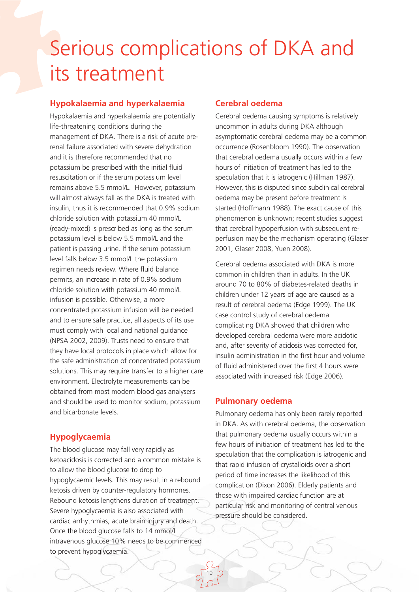## Serious complications of DKA and its treatment

## **Hypokalaemia and hyperkalaemia**

Hypokalaemia and hyperkalaemia are potentially life-threatening conditions during the management of DKA. There is a risk of acute prerenal failure associated with severe dehydration and it is therefore recommended that no potassium be prescribed with the initial fluid resuscitation or if the serum potassium level remains above 5.5 mmol/L. However, potassium will almost always fall as the DKA is treated with insulin, thus it is recommended that 0.9% sodium chloride solution with potassium 40 mmol/L (ready-mixed) is prescribed as long as the serum potassium level is below 5.5 mmol/L and the patient is passing urine. If the serum potassium level falls below 3.5 mmol/L the potassium regimen needs review. Where fluid balance permits, an increase in rate of 0.9% sodium chloride solution with potassium 40 mmol/L infusion is possible. Otherwise, a more concentrated potassium infusion will be needed and to ensure safe practice, all aspects of its use must comply with local and national guidance (NPSA 2002, 2009). Trusts need to ensure that they have local protocols in place which allow for the safe administration of concentrated potassium solutions. This may require transfer to a higher care environment. Electrolyte measurements can be obtained from most modern blood gas analysers and should be used to monitor sodium, potassium and bicarbonate levels.

## **Hypoglycaemia**

The blood glucose may fall very rapidly as ketoacidosis is corrected and a common mistake is to allow the blood glucose to drop to hypoglycaemic levels. This may result in a rebound ketosis driven by counter-regulatory hormones. Rebound ketosis lengthens duration of treatment. Severe hypoglycaemia is also associated with cardiac arrhythmias, acute brain injury and death. Once the blood glucose falls to 14 mmol/L intravenous glucose 10% needs to be commenced to prevent hypoglycaemia.

#### **Cerebral oedema**

Cerebral oedema causing symptoms is relatively uncommon in adults during DKA although asymptomatic cerebral oedema may be a common occurrence (Rosenbloom 1990). The observation that cerebral oedema usually occurs within a few hours of initiation of treatment has led to the speculation that it is iatrogenic (Hillman 1987). However, this is disputed since subclinical cerebral oedema may be present before treatment is started (Hoffmann 1988). The exact cause of this phenomenon is unknown; recent studies suggest that cerebral hypoperfusion with subsequent reperfusion may be the mechanism operating (Glaser 2001, Glaser 2008, Yuen 2008).

Cerebral oedema associated with DKA is more common in children than in adults. In the UK around 70 to 80% of diabetes-related deaths in children under 12 years of age are caused as a result of cerebral oedema (Edge 1999). The UK case control study of cerebral oedema complicating DKA showed that children who developed cerebral oedema were more acidotic and, after severity of acidosis was corrected for, insulin administration in the first hour and volume of fluid administered over the first 4 hours were associated with increased risk (Edge 2006).

#### **Pulmonary oedema**

10

Pulmonary oedema has only been rarely reported in DKA. As with cerebral oedema, the observation that pulmonary oedema usually occurs within a few hours of initiation of treatment has led to the speculation that the complication is iatrogenic and that rapid infusion of crystalloids over a short period of time increases the likelihood of this complication (Dixon 2006). Elderly patients and those with impaired cardiac function are at particular risk and monitoring of central venous pressure should be considered.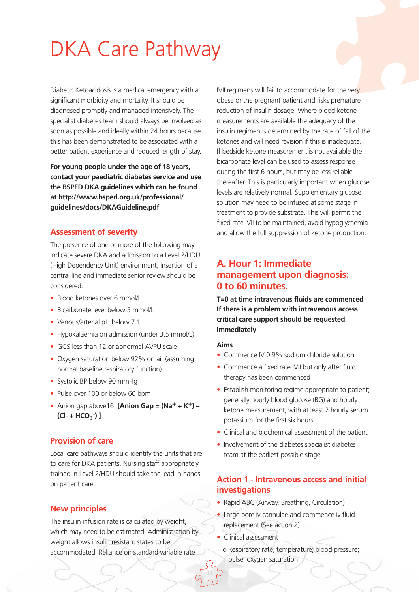## DKA Care Pathway

Diabetic Ketoacidosis is a medical emergency with a significant morbidity and mortality. It should be diagnosed promptly and managed intensively. The specialist diabetes team should always be involved as soon as possible and ideally within 24 hours because this has been demonstrated to be associated with a better patient experience and reduced length of stay.

**For young people under the age of 18 years, contact your paediatric diabetes service and use the BSPED DKA guidelines which can be found at http://www.bsped.org.uk/professional/ guidelines/docs/DKAGuideline.pdf**

#### **Assessment of severity**

The presence of one or more of the following may indicate severe DKA and admission to a Level 2/HDU (High Dependency Unit) environment, insertion of a central line and immediate senior review should be considered:

- Blood ketones over 6 mmol/L
- Bicarbonate level below 5 mmol/L
- Venous/arterial pH below 7.1
- Hypokalaemia on admission (under 3.5 mmol/L)
- GCS less than 12 or abnormal AVPU scale
- Oxygen saturation below 92% on air (assuming normal baseline respiratory function)
- Systolic BP below 90 mmHg
- Pulse over 100 or below 60 bpm
- Anion gap above16 **[Anion Gap = (Na+ + K+) – (Cl- + HCO3 - ) ]**

### **Provision of care**

Local care pathways should identify the units that are to care for DKA patients. Nursing staff appropriately trained in Level 2/HDU should take the lead in handson patient care.

#### **New principles**

The insulin infusion rate is calculated by weight, which may need to be estimated. Administration by weight allows insulin resistant states to be accommodated. Reliance on standard variable rate

IVII regimens will fail to accommodate for the very obese or the pregnant patient and risks premature reduction of insulin dosage. Where blood ketone measurements are available the adequacy of the insulin regimen is determined by the rate of fall of the ketones and will need revision if this is inadequate. If bedside ketone measurement is not available the bicarbonate level can be used to assess response during the first 6 hours, but may be less reliable thereafter. This is particularly important when glucose levels are relatively normal. Supplementary glucose solution may need to be infused at some stage in treatment to provide substrate. This will permit the fixed rate IVII to be maintained, avoid hypoglycaemia and allow the full suppression of ketone production.

## **A. Hour 1: Immediate management upon diagnosis: 0 to 60 minutes.**

**T=0 at time intravenous fluids are commenced If there is a problem with intravenous access critical care support should be requested immediately**

#### **Aims**

- Commence IV 0.9% sodium chloride solution
- Commence a fixed rate IVII but only after fluid therapy has been commenced
- Establish monitoring regime appropriate to patient; generally hourly blood glucose (BG) and hourly ketone measurement, with at least 2 hourly serum potassium for the first six hours
- Clinical and biochemical assessment of the patient
- Involvement of the diabetes specialist diabetes team at the earliest possible stage

#### **Action 1 - Intravenous access and initial investigations**

- Rapid ABC (Airway, Breathing, Circulation)
- Large bore iv cannulae and commence iv fluid replacement (See action 2)
- Clinical assessment

11

o Respiratory rate; temperature; blood pressure; pulse; oxygen saturation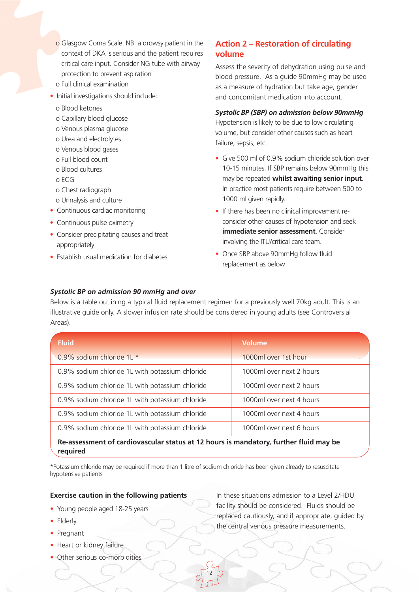- o Glasgow Coma Scale. NB: a drowsy patient in the context of DKA is serious and the patient requires critical care input. Consider NG tube with airway protection to prevent aspiration
- o Full clinical examination
- Initial investigations should include:
	- o Blood ketones
	- o Capillary blood glucose
	- o Venous plasma glucose
	- o Urea and electrolytes
	- o Venous blood gases
	- o Full blood count
	- o Blood cultures
	- o ECG
	- o Chest radiograph
	- o Urinalysis and culture
- Continuous cardiac monitoring
- Continuous pulse oximetry
- Consider precipitating causes and treat appropriately
- Establish usual medication for diabetes

## **Action 2 – Restoration of circulating volume**

Assess the severity of dehydration using pulse and blood pressure. As a guide 90mmHg may be used as a measure of hydration but take age, gender and concomitant medication into account.

#### *Systolic BP (SBP) on admission below 90mmHg*

Hypotension is likely to be due to low circulating volume, but consider other causes such as heart failure, sepsis, etc.

- Give 500 ml of 0.9% sodium chloride solution over 10-15 minutes. If SBP remains below 90mmHg this may be repeated **whilst awaiting senior input**. In practice most patients require between 500 to 1000 ml given rapidly.
- If there has been no clinical improvement reconsider other causes of hypotension and seek **immediate senior assessment**. Consider involving the ITU/critical care team.
- Once SBP above 90mmHg follow fluid replacement as below

#### *Systolic BP on admission 90 mmHg and over*

Below is a table outlining a typical fluid replacement regimen for a previously well 70kg adult. This is an illustrative guide only. A slower infusion rate should be considered in young adults (see Controversial Areas).

| <b>Fluid</b>                                                                                      | <b>Volume</b>            |  |
|---------------------------------------------------------------------------------------------------|--------------------------|--|
| $0.9\%$ sodium chloride 1L $*$                                                                    | 1000ml over 1st hour     |  |
| 0.9% sodium chloride 1L with potassium chloride                                                   | 1000ml over next 2 hours |  |
| 0.9% sodium chloride 1L with potassium chloride                                                   | 1000ml over next 2 hours |  |
| 0.9% sodium chloride 1L with potassium chloride                                                   | 1000ml over next 4 hours |  |
| 0.9% sodium chloride 1L with potassium chloride                                                   | 1000ml over next 4 hours |  |
| 0.9% sodium chloride 1L with potassium chloride                                                   | 1000ml over next 6 hours |  |
| Re-assessment of cardiovascular status at 12 hours is mandatory, further fluid may be<br>required |                          |  |

\*Potassium chloride may be required if more than 1 litre of sodium chloride has been given already to resuscitate hypotensive patients

12

### **Exercise caution in the following patients**

- Young people aged 18-25 years
- Elderly
- Pregnant
- Heart or kidney failure
- Other serious co-morbidities

In these situations admission to a Level 2/HDU facility should be considered. Fluids should be replaced cautiously, and if appropriate, guided by the central venous pressure measurements.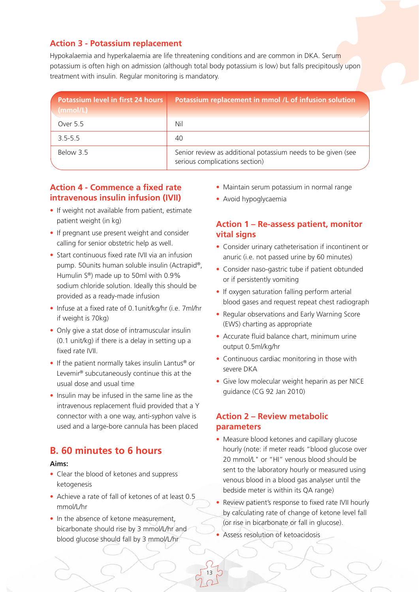## **Action 3 - Potassium replacement**

Hypokalaemia and hyperkalaemia are life threatening conditions and are common in DKA. Serum potassium is often high on admission (although total body potassium is low) but falls precipitously upon treatment with insulin. Regular monitoring is mandatory.

| Potassium level in first 24 hours<br>(mmol/L) | Potassium replacement in mmol /L of infusion solution                                          |
|-----------------------------------------------|------------------------------------------------------------------------------------------------|
| Over 5.5                                      | Nil                                                                                            |
| $3.5 - 5.5$                                   | 40                                                                                             |
| Below 3.5                                     | Senior review as additional potassium needs to be given (see<br>serious complications section) |

## **Action 4 - Commence a fixed rate intravenous insulin infusion (IVII)**

- If weight not available from patient, estimate patient weight (in kg)
- If pregnant use present weight and consider calling for senior obstetric help as well.
- Start continuous fixed rate IVII via an infusion pump. 50units human soluble insulin (Actrapid®, Humulin S®) made up to 50ml with 0.9% sodium chloride solution. Ideally this should be provided as a ready-made infusion
- Infuse at a fixed rate of 0.1unit/kg/hr (i.e. 7ml/hr if weight is 70kg)
- Only give a stat dose of intramuscular insulin (0.1 unit/kg) if there is a delay in setting up a fixed rate IVII.
- If the patient normally takes insulin Lantus® or Levemir® subcutaneously continue this at the usual dose and usual time
- Insulin may be infused in the same line as the intravenous replacement fluid provided that a Y connector with a one way, anti-syphon valve is used and a large-bore cannula has been placed

## **B. 60 minutes to 6 hours**

#### **Aims:**

- Clear the blood of ketones and suppress ketogenesis
- Achieve a rate of fall of ketones of at least 0.5 mmol/L/hr
- In the absence of ketone measurement, bicarbonate should rise by 3 mmol/L/hr and blood glucose should fall by 3 mmol/L/hr
- Maintain serum potassium in normal range
- Avoid hypoglycaemia

## **Action 1 – Re-assess patient, monitor vital signs**

- Consider urinary catheterisation if incontinent or anuric (i.e. not passed urine by 60 minutes)
- Consider naso-gastric tube if patient obtunded or if persistently vomiting
- If oxygen saturation falling perform arterial blood gases and request repeat chest radiograph
- Regular observations and Early Warning Score (EWS) charting as appropriate
- Accurate fluid balance chart, minimum urine output 0.5ml/kg/hr
- Continuous cardiac monitoring in those with severe DKA
- Give low molecular weight heparin as per NICE guidance (CG 92 Jan 2010)

## **Action 2 – Review metabolic parameters**

- Measure blood ketones and capillary glucose hourly (note: if meter reads "blood glucose over 20 mmol/L" or "HI" venous blood should be sent to the laboratory hourly or measured using venous blood in a blood gas analyser until the bedside meter is within its QA range)
- Review patient's response to fixed rate IVII hourly by calculating rate of change of ketone level fall (or rise in bicarbonate or fall in glucose).
- Assess resolution of ketoacidosis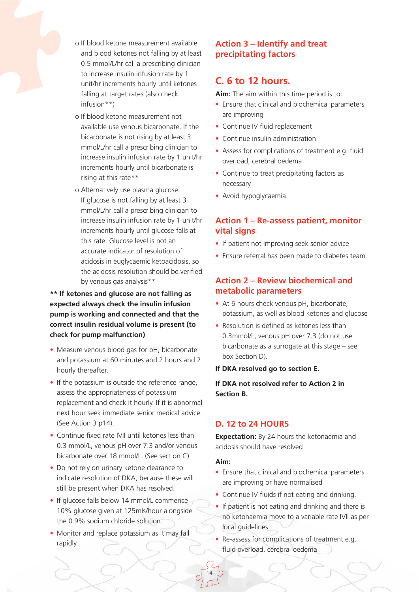

- o If blood ketone measurement available and blood ketones not falling by at least 0.5 mmol/L/hr call a prescribing clinician to increase insulin infusion rate by 1 unit/hr increments hourly until ketones falling at target rates (also check infusion\*\*)
- o If blood ketone measurement not available use venous bicarbonate. If the bicarbonate is not rising by at least 3 mmol/L/hr call a prescribing clinician to increase insulin infusion rate by 1 unit/hr increments hourly until bicarbonate is rising at this rate\*\*
- o Alternatively use plasma glucose. If glucose is not falling by at least 3 mmol/L/hr call a prescribing clinician to increase insulin infusion rate by 1 unit/hr increments hourly until glucose falls at this rate. Glucose level is not an accurate indicator of resolution of acidosis in euglycaemic ketoacidosis, so the acidosis resolution should be verified by venous gas analysis\*\*

## **\*\* If ketones and glucose are not falling as expected always check the insulin infusion pump is working and connected and that the correct insulin residual volume is present (to check for pump malfunction)**

- Measure venous blood gas for pH, bicarbonate and potassium at 60 minutes and 2 hours and 2 hourly thereafter.
- If the potassium is outside the reference range, assess the appropriateness of potassium replacement and check it hourly. If it is abnormal next hour seek immediate senior medical advice. (See Action 3 p14).
- Continue fixed rate IVII until ketones less than 0.3 mmol/L, venous pH over 7.3 and/or venous bicarbonate over 18 mmol/L. (See section C)
- Do not rely on urinary ketone clearance to indicate resolution of DKA, because these will still be present when DKA has resolved.
- If glucose falls below 14 mmol/L commence 10% glucose given at 125mls/hour alongside the 0.9% sodium chloride solution.
- Monitor and replace potassium as it may fall rapidly.

## **Action 3 – Identify and treat precipitating factors**

## **C. 6 to 12 hours.**

**Aim:** The aim within this time period is to:

- Ensure that clinical and biochemical parameters are improving
- Continue IV fluid replacement
- Continue insulin administration
- Assess for complications of treatment e.g. fluid overload, cerebral oedema
- Continue to treat precipitating factors as necessary
- Avoid hypoglycaemia

## **Action 1 – Re-assess patient, monitor vital signs**

- If patient not improving seek senior advice
- Ensure referral has been made to diabetes team

## **Action 2 – Review biochemical and metabolic parameters**

- At 6 hours check venous pH, bicarbonate, potassium, as well as blood ketones and glucose
- Resolution is defined as ketones less than 0.3mmol/L, venous pH over 7.3 (do not use bicarbonate as a surrogate at this stage – see box Section D).
- **If DKA resolved go to section E.**

**If DKA not resolved refer to Action 2 in Section B.**

## **D. 12 to 24 HOURS**

**Expectation:** By 24 hours the ketonaemia and acidosis should have resolved

#### **Aim:**

- Ensure that clinical and biochemical parameters are improving or have normalised
- Continue IV fluids if not eating and drinking.
- If patient is not eating and drinking and there is no ketonaemia move to a variable rate IVII as per local guidelines
- Re-assess for complications of treatment e.g. fluid overload, cerebral oedema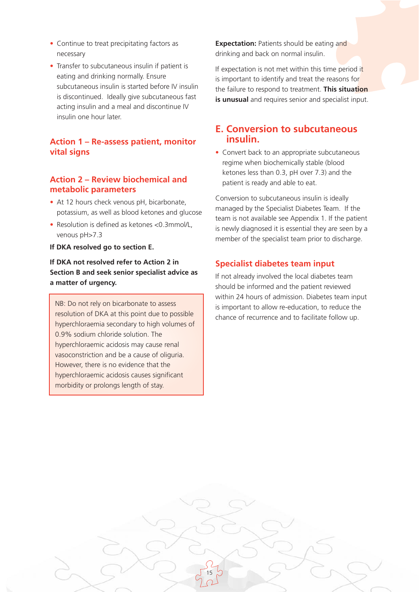- Continue to treat precipitating factors as necessary
- Transfer to subcutaneous insulin if patient is eating and drinking normally. Ensure subcutaneous insulin is started before IV insulin is discontinued. Ideally give subcutaneous fast acting insulin and a meal and discontinue IV insulin one hour later.

## **Action 1 – Re-assess patient, monitor vital signs**

## **Action 2 – Review biochemical and metabolic parameters**

- At 12 hours check venous pH, bicarbonate, potassium, as well as blood ketones and glucose
- Resolution is defined as ketones <0.3mmol/L, venous pH>7.3
- **If DKA resolved go to section E.**

### **If DKA not resolved refer to Action 2 in Section B and seek senior specialist advice as a matter of urgency.**

NB: Do not rely on bicarbonate to assess resolution of DKA at this point due to possible hyperchloraemia secondary to high volumes of 0.9% sodium chloride solution. The hyperchloraemic acidosis may cause renal vasoconstriction and be a cause of oliguria. However, there is no evidence that the hyperchloraemic acidosis causes significant morbidity or prolongs length of stay.

**Expectation:** Patients should be eating and drinking and back on normal insulin.

If expectation is not met within this time period it is important to identify and treat the reasons for the failure to respond to treatment. **This situation is unusual** and requires senior and specialist input.

## **E. Conversion to subcutaneous insulin.**

• Convert back to an appropriate subcutaneous regime when biochemically stable (blood ketones less than 0.3, pH over 7.3) and the patient is ready and able to eat.

Conversion to subcutaneous insulin is ideally managed by the Specialist Diabetes Team. If the team is not available see Appendix 1. If the patient is newly diagnosed it is essential they are seen by a member of the specialist team prior to discharge.

## **Specialist diabetes team input**

15

If not already involved the local diabetes team should be informed and the patient reviewed within 24 hours of admission. Diabetes team input is important to allow re-education, to reduce the chance of recurrence and to facilitate follow up.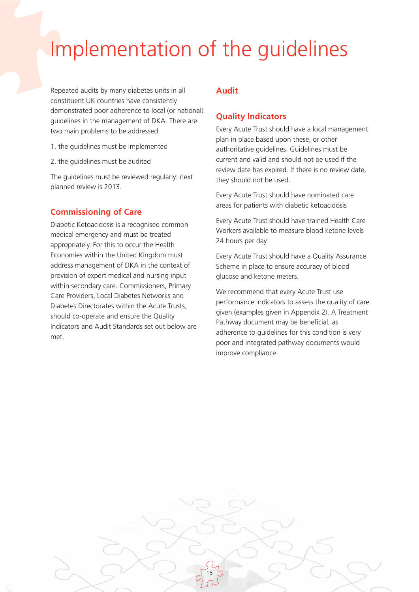## Implementation of the guidelines

Repeated audits by many diabetes units in all constituent UK countries have consistently demonstrated poor adherence to local (or national) guidelines in the management of DKA. There are two main problems to be addressed:

- 1. the guidelines must be implemented
- 2. the guidelines must be audited

The guidelines must be reviewed regularly: next planned review is 2013.

## **Commissioning of Care**

Diabetic Ketoacidosis is a recognised common medical emergency and must be treated appropriately. For this to occur the Health Economies within the United Kingdom must address management of DKA in the context of provision of expert medical and nursing input within secondary care. Commissioners, Primary Care Providers, Local Diabetes Networks and Diabetes Directorates within the Acute Trusts, should co-operate and ensure the Quality Indicators and Audit Standards set out below are met.

### **Audit**

16

### **Quality Indicators**

Every Acute Trust should have a local management plan in place based upon these, or other authoritative guidelines. Guidelines must be current and valid and should not be used if the review date has expired. If there is no review date, they should not be used.

Every Acute Trust should have nominated care areas for patients with diabetic ketoacidosis

Every Acute Trust should have trained Health Care Workers available to measure blood ketone levels 24 hours per day.

Every Acute Trust should have a Quality Assurance Scheme in place to ensure accuracy of blood glucose and ketone meters.

We recommend that every Acute Trust use performance indicators to assess the quality of care given (examples given in Appendix 2). A Treatment Pathway document may be beneficial, as adherence to guidelines for this condition is very poor and integrated pathway documents would improve compliance.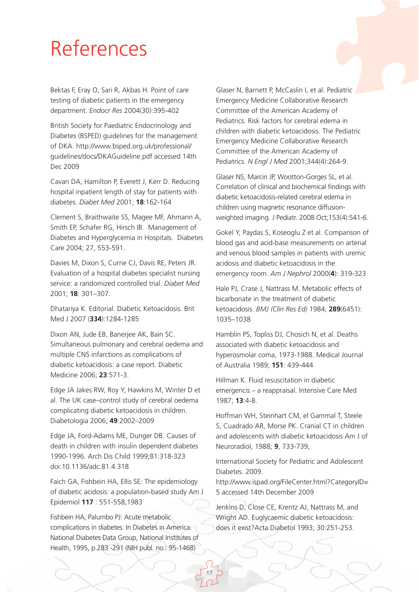## References

Bektas F, Eray O, Sari R, Akbas H. Point of care testing of diabetic patients in the emergency department. *Endocr Res* 2004(30):395-402

British Society for Paediatric Endocrinology and Diabetes (BSPED) guidelines for the management of DKA. http://www.bsped.org.uk/professional/ guidelines/docs/DKAGuideline.pdf accessed 14th Dec 2009

Cavan DA, Hamilton P, Everett J, Kerr D. Reducing hospital inpatient length of stay for patients with diabetes. *Diabet Med* 2001; **18**:162-164

Clement S, Braithwaite SS, Magee MF, Ahmann A, Smith EP, Schafer RG, Hirsch IB. Management of Diabetes and Hyperglycemia in Hospitals. Diabetes Care 2004; 27, 553-591.

Davies M, Dixon S, Currie CJ, Davis RE, Peters JR. Evaluation of a hospital diabetes specialist nursing service: a randomized controlled trial. *Diabet Med* 2001; **18**: 301–307.

Dhatariya K. Editorial. Diabetic Ketoacidosis. Brit Med J 2007 (**334**):1284-1285

Dixon AN, Jude EB, Banerjee AK, Bain SC. Simultaneous pulmonary and cerebral oedema and multiple CNS infarctions as complications of diabetic ketoacidosis: a case report. Diabetic Medicine 2006; **23**:571-3.

Edge JA Jakes RW, Roy Y, Hawkins M, Winter D et al. The UK case–control study of cerebral oedema complicating diabetic ketoacidosis in children. Diabetologia 2006; **49**:2002–2009

Edge JA, Ford-Adams ME, Dunger DB. Causes of death in children with insulin dependent diabetes 1990-1996. Arch Dis Child 1999;81:318-323 doi:10.1136/adc.81.4.318

Faich GA, Fishbein HA, Ellis SE: The epidemiology of diabetic acidosis: a population-based study Am J Epidemiol **117** : 551-558,1983

Fishbein HA, Palumbo PJ: Acute metabolic complications in diabetes. In Diabetes in America. National Diabetes Data Group, National Institutes of Health, 1995, p.283 -291 (NIH publ. no.: 95-1468)

Glaser N, Barnett P, McCaslin I, et al. Pediatric Emergency Medicine Collaborative Research Committee of the American Academy of Pediatrics. Risk factors for cerebral edema in children with diabetic ketoacidosis. The Pediatric Emergency Medicine Collaborative Research Committee of the American Academy of Pediatrics. *N Engl J Med* 2001;344(4):264-9.

Glaser NS, Marcin JP, Wootton-Gorges SL, et al. Correlation of clinical and biochemical findings with diabetic ketoacidosis-related cerebral edema in children using magnetic resonance diffusionweighted imaging. J Pediatr. 2008 Oct;153(4):541-6.

Gokel Y, Paydas S, Koseoglu Z et al. Comparison of blood gas and acid-base measurements on arterial and venous blood samples in patients with uremic acidosis and diabetic ketoacidosis in the emergency room. *Am J Nephrol* 2000(**4**): 319-323

Hale PJ, Crase J, Nattrass M. Metabolic effects of bicarbonate in the treatment of diabetic ketoacidosis. *BMJ (Clin Res Ed)* 1984; **289**(6451): 1035–1038

Hamblin PS, Topliss DJ, Chosich N, et al. Deaths associated with diabetic ketoacidosis and hyperosmolar coma, 1973-1988. Medical Journal of Australia 1989; **151**: 439-444

Hillman K. Fluid resuscitation in diabetic emergencis – a reappraisal. Intensive Care Med 1987; **13**:4-8.

Hoffman WH, Steinhart CM, el Gammal T, Steele S, Cuadrado AR, Morse PK. Cranial CT in children and adolescents with diabetic ketoacidosis Am J of Neuroradiol, 1988; **9**, 733-739,

International Society for Pediatric and Adolescent Diabetes. 2009.

http://www.ispad.org/FileCenter.html?CategoryID= 5 accessed 14th December 2009

Jenkins D, Close CE, Krentz AJ, Nattrass M, and Wright AD. Euglycaemic diabetic ketoacidosis: does it exist?Acta Diabetol 1993; 30:251-253.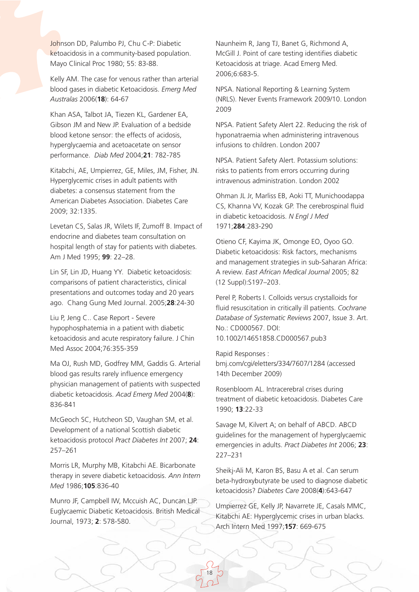Johnson DD, Palumbo PJ, Chu C-P: Diabetic ketoacidosis in a community-based population. Mayo Clinical Proc 1980; 55: 83-88.

Kelly AM. The case for venous rather than arterial blood gases in diabetic Ketoacidosis. *Emerg Med Australas* 2006(**18**): 64-67

Khan ASA, Talbot JA, Tiezen KL, Gardener EA, Gibson JM and New JP. Evaluation of a bedside blood ketone sensor: the effects of acidosis, hyperglycaemia and acetoacetate on sensor performance. *Diab Med* 2004;**21**: 782-785

Kitabchi, AE, Umpierrez, GE, Miles, JM, Fisher, JN. Hyperglycemic crises in adult patients with diabetes: a consensus statement from the American Diabetes Association. Diabetes Care 2009; 32:1335.

Levetan CS, Salas JR, Wilets IF, Zumoff B. Impact of endocrine and diabetes team consultation on hospital length of stay for patients with diabetes. Am J Med 1995; **99**: 22–28.

Lin SF, Lin JD, Huang YY. Diabetic ketoacidosis: comparisons of patient characteristics, clinical presentations and outcomes today and 20 years ago. Chang Gung Med Journal. 2005;**28**:24-30

Liu P, Jeng C.. Case Report - Severe hypophosphatemia in a patient with diabetic ketoacidosis and acute respiratory failure. J Chin Med Assoc 2004;76:355-359

Ma OJ, Rush MD, Godfrey MM, Gaddis G. Arterial blood gas results rarely influence emergency physician management of patients with suspected diabetic ketoacidosis. *Acad Emerg Med* 2004(**8**): 836-841

McGeoch SC, Hutcheon SD, Vaughan SM, et al. Development of a national Scottish diabetic ketoacidosis protocol *Pract Diabetes Int* 2007; **24**: 257–261

Morris LR, Murphy MB, Kitabchi AE. Bicarbonate therapy in severe diabetic ketoacidosis. *Ann Intern Med* 1986;**105**:836-40

Munro JF, Campbell IW, Mccuish AC, Duncan LJP. Euglycaemic Diabetic Ketoacidosis. British Medical Journal, 1973; **2**: 578-580.

Naunheim R, Jang TJ, Banet G, Richmond A, McGill J. Point of care testing identifies diabetic Ketoacidosis at triage. Acad Emerg Med. 2006;6:683-5.

NPSA. National Reporting & Learning System (NRLS). Never Events Framework 2009/10. London 2009

NPSA. Patient Safety Alert 22. Reducing the risk of hyponatraemia when administering intravenous infusions to children. London 2007

NPSA. Patient Safety Alert. Potassium solutions: risks to patients from errors occurring during intravenous administration. London 2002

Ohman JL Jr, Marliss EB, Aoki TT, Munichoodappa CS, Khanna VV, Kozak GP. The cerebrospinal fluid in diabetic ketoacidosis. *N Engl J Med* 1971;**284**:283-290

Otieno CF, Kayima JK, Omonge EO, Oyoo GO. Diabetic ketoacidosis: Risk factors, mechanisms and management strategies in sub-Saharan Africa: A review. *East African Medical Journal* 2005; 82 (12 Suppl):S197–203.

Perel P, Roberts I. Colloids versus crystalloids for fluid resuscitation in critically ill patients. *Cochrane Database of Systematic Reviews* 2007, Issue 3. Art. No.: CD000567. DOI: 10.1002/14651858.CD000567.pub3

Rapid Responses : bmj.com/cgi/eletters/334/7607/1284 (accessed 14th December 2009)

Rosenbloom AL. Intracerebral crises during treatment of diabetic ketoacidosis. Diabetes Care 1990; **13**:22-33

Savage M, Kilvert A; on behalf of ABCD. ABCD guidelines for the management of hyperglycaemic emergencies in adults. *Pract Diabetes Int* 2006; **23**: 227–231

Sheikj-Ali M, Karon BS, Basu A et al. Can serum beta-hydroxybutyrate be used to diagnose diabetic ketoacidosis? *Diabetes Care* 2008(**4**):643-647

Umpierrez GE, Kelly JP, Navarrete JE, Casals MMC, Kitabchi AE: Hyperglycemic crises in urban blacks. Arch Intern Med 1997;**157**: 669-675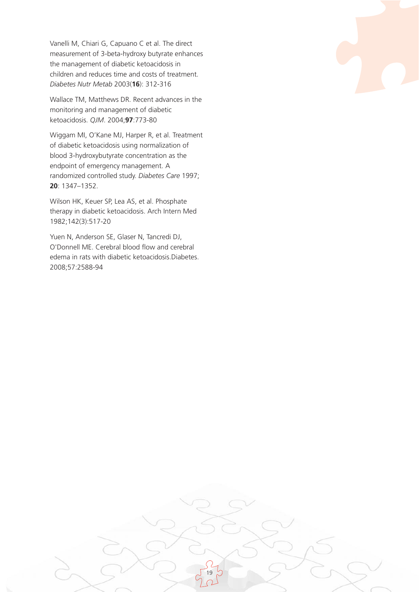Vanelli M, Chiari G, Capuano C et al. The direct measurement of 3-beta-hydroxy butyrate enhances the management of diabetic ketoacidosis in children and reduces time and costs of treatment. *Diabetes Nutr Metab* 2003(**16**): 312-316

Wallace TM, Matthews DR. Recent advances in the monitoring and management of diabetic ketoacidosis. *QJM*. 2004;**97**:773-80

Wiggam MI, O'Kane MJ, Harper R, et al. Treatment of diabetic ketoacidosis using normalization of blood 3-hydroxybutyrate concentration as the endpoint of emergency management. A randomized controlled study. *Diabetes Care* 1997; **20**: 1347–1352.

Wilson HK, Keuer SP, Lea AS, et al. Phosphate therapy in diabetic ketoacidosis. Arch Intern Med 1982;142(3):517-20

Yuen N, Anderson SE, Glaser N, Tancredi DJ, O'Donnell ME. Cerebral blood flow and cerebral edema in rats with diabetic ketoacidosis.Diabetes. 2008;57:2588-94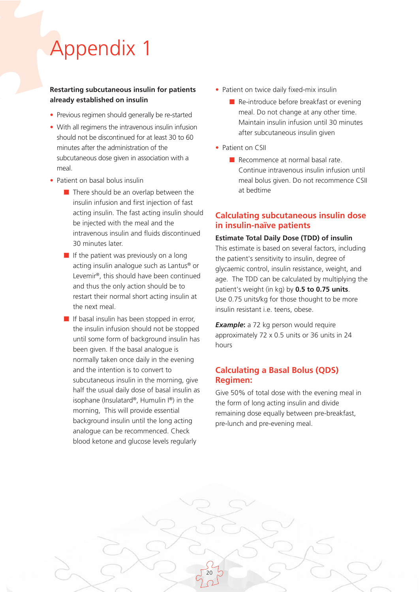# Appendix 1

#### **Restarting subcutaneous insulin for patients already established on insulin**

- Previous regimen should generally be re-started
- With all regimens the intravenous insulin infusion should not be discontinued for at least 30 to 60 minutes after the administration of the subcutaneous dose given in association with a meal.
- Patient on basal bolus insulin
	- There should be an overlap between the insulin infusion and first injection of fast acting insulin. The fast acting insulin should be injected with the meal and the intravenous insulin and fluids discontinued 30 minutes later.
	- If the patient was previously on a long acting insulin analogue such as Lantus® or Levemir®, this should have been continued and thus the only action should be to restart their normal short acting insulin at the next meal.
	- If basal insulin has been stopped in error, the insulin infusion should not be stopped until some form of background insulin has been given. If the basal analogue is normally taken once daily in the evening and the intention is to convert to subcutaneous insulin in the morning, give half the usual daily dose of basal insulin as isophane (Insulatard®, Humulin I®) in the morning, This will provide essential background insulin until the long acting analogue can be recommenced. Check blood ketone and glucose levels regularly
- Patient on twice daily fixed-mix insulin
	- Re-introduce before breakfast or evening meal. Do not change at any other time. Maintain insulin infusion until 30 minutes after subcutaneous insulin given
- Patient on CSII
	- Recommence at normal basal rate. Continue intravenous insulin infusion until meal bolus given. Do not recommence CSII at bedtime

## **Calculating subcutaneous insulin dose in insulin-naïve patients**

**Estimate Total Daily Dose (TDD) of insulin** This estimate is based on several factors, including the patient's sensitivity to insulin, degree of glycaemic control, insulin resistance, weight, and age. The TDD can be calculated by multiplying the patient's weight (in kg) by **0.5 to 0.75 units**. Use 0.75 units/kg for those thought to be more insulin resistant i.e. teens, obese.

**Example:** a 72 kg person would require approximately 72 x 0.5 units or 36 units in 24 hours

## **Calculating a Basal Bolus (QDS) Regimen:**

20

Give 50% of total dose with the evening meal in the form of long acting insulin and divide remaining dose equally between pre-breakfast, pre-lunch and pre-evening meal.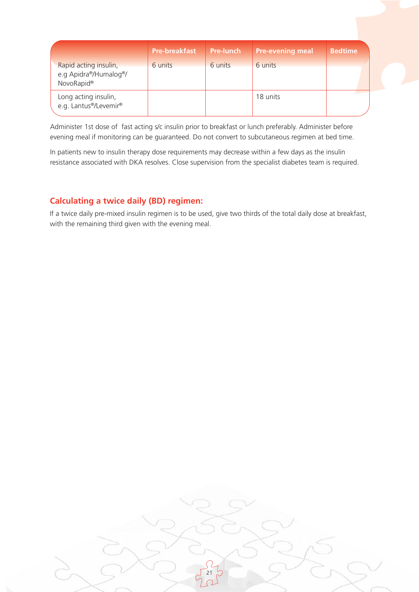|                                                                          | <b>Pre-breakfast</b> | <b>Pre-lunch</b> | <b>Pre-evening meal</b> | <b>Bedtime</b> |
|--------------------------------------------------------------------------|----------------------|------------------|-------------------------|----------------|
| Rapid acting insulin,<br>e.g Apidra®/Humalog®/<br>NovoRapid <sup>®</sup> | 6 units              | 6 units          | 6 units                 |                |
| Long acting insulin,<br>e.g. Lantus®/Levemir®                            |                      |                  | 18 units                |                |

Administer 1st dose of fast acting s/c insulin prior to breakfast or lunch preferably. Administer before evening meal if monitoring can be guaranteed. Do not convert to subcutaneous regimen at bed time.

In patients new to insulin therapy dose requirements may decrease within a few days as the insulin resistance associated with DKA resolves. Close supervision from the specialist diabetes team is required.

## **Calculating a twice daily (BD) regimen:**

If a twice daily pre-mixed insulin regimen is to be used, give two thirds of the total daily dose at breakfast, with the remaining third given with the evening meal.

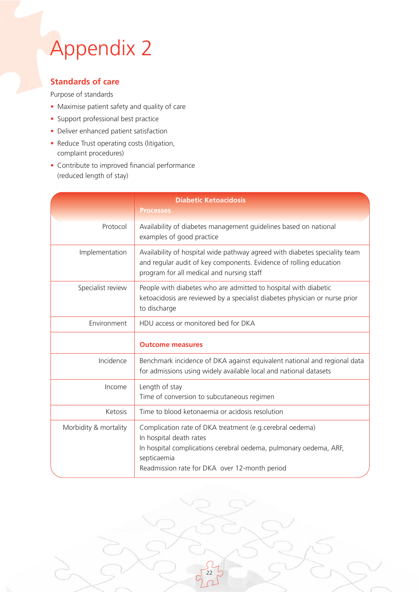# Appendix 2

## **Standards of care**

### Purpose of standards

- Maximise patient safety and quality of care
- Support professional best practice
- Deliver enhanced patient satisfaction
- Reduce Trust operating costs (litigation, complaint procedures)
- Contribute to improved financial performance (reduced length of stay)

|                       | <b>Diabetic Ketoacidosis</b><br><b>Processes</b>                                                                                                                                                                          |
|-----------------------|---------------------------------------------------------------------------------------------------------------------------------------------------------------------------------------------------------------------------|
| Protocol              | Availability of diabetes management guidelines based on national<br>examples of good practice                                                                                                                             |
| Implementation        | Availability of hospital wide pathway agreed with diabetes speciality team<br>and regular audit of key components. Evidence of rolling education<br>program for all medical and nursing staff                             |
| Specialist review     | People with diabetes who are admitted to hospital with diabetic<br>ketoacidosis are reviewed by a specialist diabetes physician or nurse prior<br>to discharge                                                            |
| Environment           | HDU access or monitored bed for DKA                                                                                                                                                                                       |
|                       | <b>Outcome measures</b>                                                                                                                                                                                                   |
| Incidence             | Benchmark incidence of DKA against equivalent national and regional data<br>for admissions using widely available local and national datasets                                                                             |
| Income                | Length of stay<br>Time of conversion to subcutaneous regimen                                                                                                                                                              |
| Ketosis               | Time to blood ketonaemia or acidosis resolution                                                                                                                                                                           |
| Morbidity & mortality | Complication rate of DKA treatment (e.g. cerebral oedema)<br>In hospital death rates<br>In hospital complications cerebral oedema, pulmonary oedema, ARF,<br>septicaemia<br>Readmission rate for DKA over 12-month period |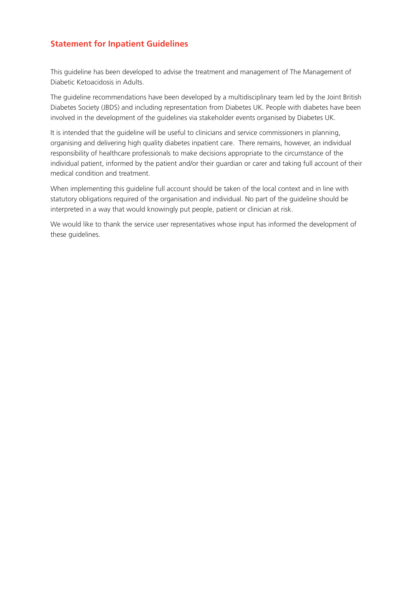## **Statement for Inpatient Guidelines**

This guideline has been developed to advise the treatment and management of The Management of Diabetic Ketoacidosis in Adults.

The guideline recommendations have been developed by a multidisciplinary team led by the Joint British Diabetes Society (JBDS) and including representation from Diabetes UK. People with diabetes have been involved in the development of the guidelines via stakeholder events organised by Diabetes UK.

It is intended that the guideline will be useful to clinicians and service commissioners in planning, organising and delivering high quality diabetes inpatient care. There remains, however, an individual responsibility of healthcare professionals to make decisions appropriate to the circumstance of the individual patient, informed by the patient and/or their guardian or carer and taking full account of their medical condition and treatment.

When implementing this guideline full account should be taken of the local context and in line with statutory obligations required of the organisation and individual. No part of the guideline should be interpreted in a way that would knowingly put people, patient or clinician at risk.

We would like to thank the service user representatives whose input has informed the development of these guidelines.